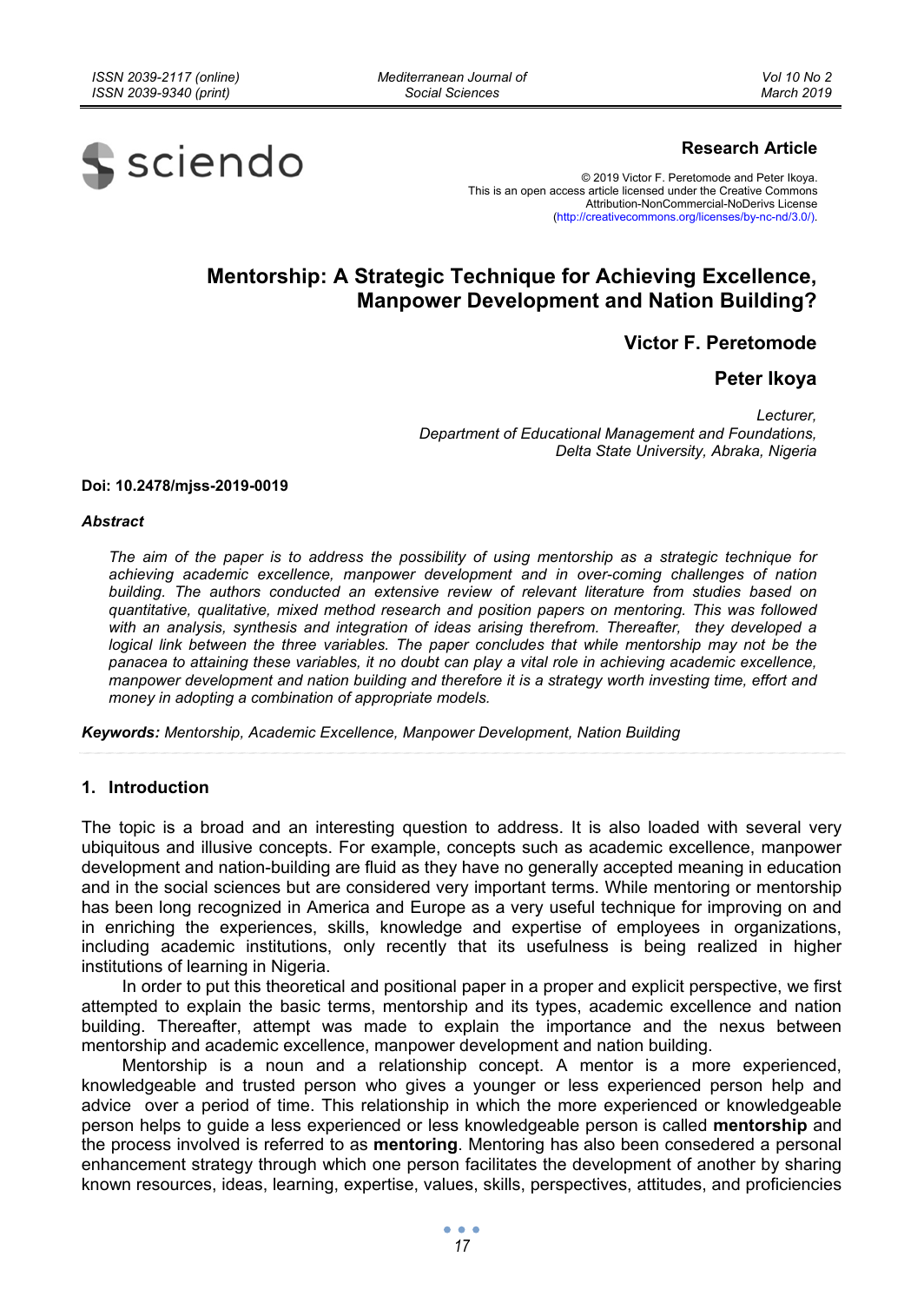*Mediterranean Journal of Social Sciences* 



# **Research Article**

© 2019 Victor F. Peretomode and Peter Ikoya. This is an open access article licensed under the Creative Commons Attribution-NonCommercial-NoDerivs License (http://creativecommons.org/licenses/by-nc-nd/3.0/).

# **Mentorship: A Strategic Technique for Achieving Excellence, Manpower Development and Nation Building?**

**Victor F. Peretomode** 

# **Peter Ikoya**

*Lecturer, Department of Educational Management and Foundations, Delta State University, Abraka, Nigeria* 

#### **Doi: 10.2478/mjss-2019-0019**

#### *Abstract*

*The aim of the paper is to address the possibility of using mentorship as a strategic technique for achieving academic excellence, manpower development and in over-coming challenges of nation building. The authors conducted an extensive review of relevant literature from studies based on quantitative, qualitative, mixed method research and position papers on mentoring. This was followed with an analysis, synthesis and integration of ideas arising therefrom. Thereafter, they developed a logical link between the three variables. The paper concludes that while mentorship may not be the panacea to attaining these variables, it no doubt can play a vital role in achieving academic excellence, manpower development and nation building and therefore it is a strategy worth investing time, effort and money in adopting a combination of appropriate models.* 

*Keywords: Mentorship, Academic Excellence, Manpower Development, Nation Building* 

## **1. Introduction**

The topic is a broad and an interesting question to address. It is also loaded with several very ubiquitous and illusive concepts. For example, concepts such as academic excellence, manpower development and nation-building are fluid as they have no generally accepted meaning in education and in the social sciences but are considered very important terms. While mentoring or mentorship has been long recognized in America and Europe as a very useful technique for improving on and in enriching the experiences, skills, knowledge and expertise of employees in organizations, including academic institutions, only recently that its usefulness is being realized in higher institutions of learning in Nigeria.

In order to put this theoretical and positional paper in a proper and explicit perspective, we first attempted to explain the basic terms, mentorship and its types, academic excellence and nation building. Thereafter, attempt was made to explain the importance and the nexus between mentorship and academic excellence, manpower development and nation building.

Mentorship is a noun and a relationship concept. A mentor is a more experienced, knowledgeable and trusted person who gives a younger or less experienced person help and advice over a period of time. This relationship in which the more experienced or knowledgeable person helps to guide a less experienced or less knowledgeable person is called **mentorship** and the process involved is referred to as **mentoring**. Mentoring has also been consedered a personal enhancement strategy through which one person facilitates the development of another by sharing known resources, ideas, learning, expertise, values, skills, perspectives, attitudes, and proficiencies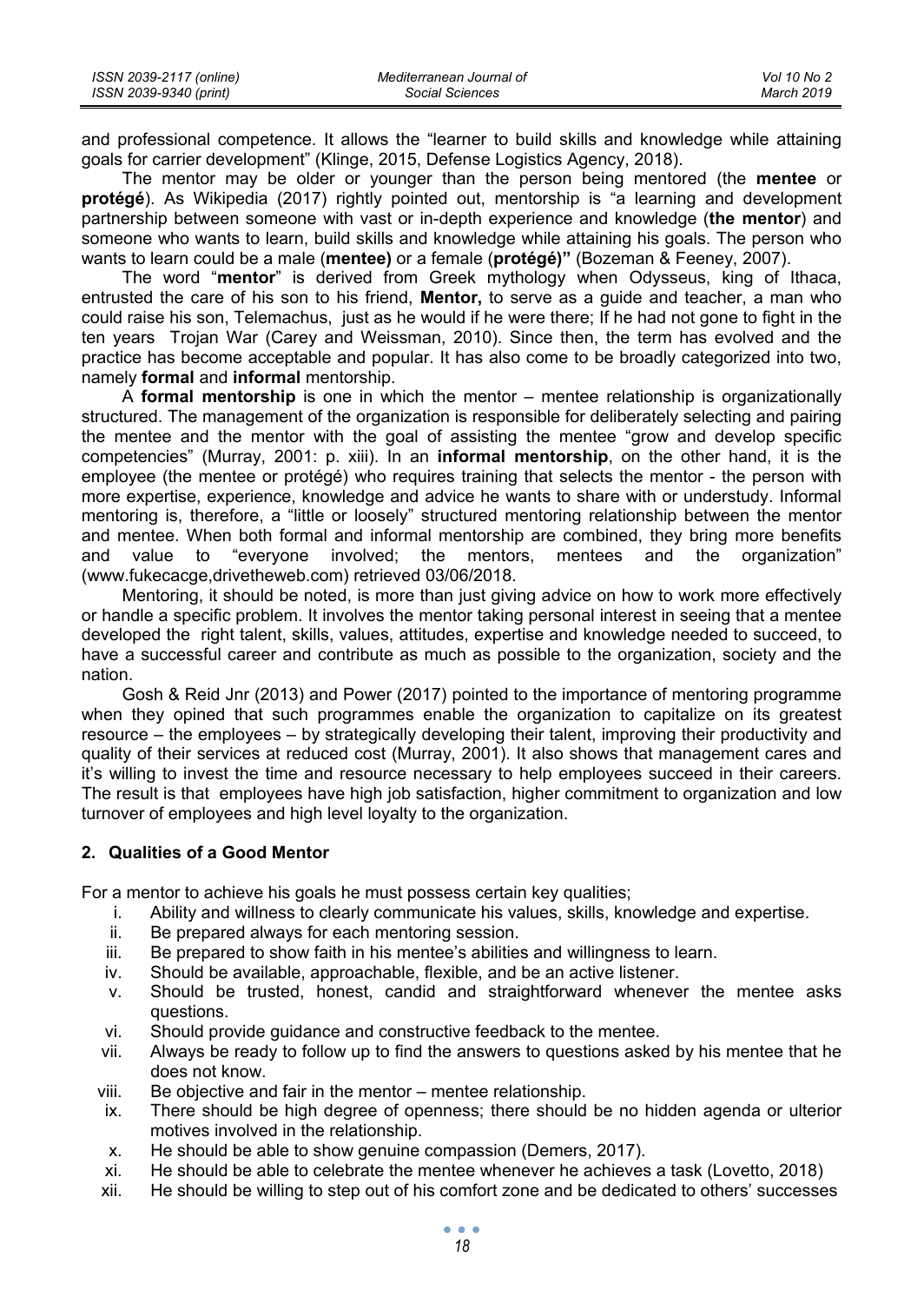| ISSN 2039-2117 (online) | Mediterranean Journal of | Vol 10 No 2 |
|-------------------------|--------------------------|-------------|
| ISSN 2039-9340 (print)  | Social Sciences          | March 2019  |

and professional competence. It allows the "learner to build skills and knowledge while attaining goals for carrier development" (Klinge, 2015, Defense Logistics Agency, 2018).

The mentor may be older or younger than the person being mentored (the **mentee** or **protégé**). As Wikipedia (2017) rightly pointed out, mentorship is "a learning and development partnership between someone with vast or in-depth experience and knowledge (**the mentor**) and someone who wants to learn, build skills and knowledge while attaining his goals. The person who wants to learn could be a male (**mentee)** or a female (**protégé)"** (Bozeman & Feeney, 2007).

The word "**mentor**" is derived from Greek mythology when Odysseus, king of Ithaca, entrusted the care of his son to his friend, **Mentor,** to serve as a guide and teacher, a man who could raise his son, Telemachus, just as he would if he were there; If he had not gone to fight in the ten years Trojan War (Carey and Weissman, 2010). Since then, the term has evolved and the practice has become acceptable and popular. It has also come to be broadly categorized into two, namely **formal** and **informal** mentorship.

A **formal mentorship** is one in which the mentor – mentee relationship is organizationally structured. The management of the organization is responsible for deliberately selecting and pairing the mentee and the mentor with the goal of assisting the mentee "grow and develop specific competencies" (Murray, 2001: p. xiii). In an **informal mentorship**, on the other hand, it is the employee (the mentee or protégé) who requires training that selects the mentor - the person with more expertise, experience, knowledge and advice he wants to share with or understudy. Informal mentoring is, therefore, a "little or loosely" structured mentoring relationship between the mentor and mentee. When both formal and informal mentorship are combined, they bring more benefits and value to "everyone involved; the mentors, mentees and the organization" (www.fukecacge,drivetheweb.com) retrieved 03/06/2018.

Mentoring, it should be noted, is more than just giving advice on how to work more effectively or handle a specific problem. It involves the mentor taking personal interest in seeing that a mentee developed the right talent, skills, values, attitudes, expertise and knowledge needed to succeed, to have a successful career and contribute as much as possible to the organization, society and the nation.

Gosh & Reid Jnr (2013) and Power (2017) pointed to the importance of mentoring programme when they opined that such programmes enable the organization to capitalize on its greatest resource – the employees – by strategically developing their talent, improving their productivity and quality of their services at reduced cost (Murray, 2001). It also shows that management cares and it's willing to invest the time and resource necessary to help employees succeed in their careers. The result is that employees have high job satisfaction, higher commitment to organization and low turnover of employees and high level loyalty to the organization.

## **2. Qualities of a Good Mentor**

For a mentor to achieve his goals he must possess certain key qualities;

- i. Ability and willness to clearly communicate his values, skills, knowledge and expertise.
- ii. Be prepared always for each mentoring session.
- iii. Be prepared to show faith in his mentee's abilities and willingness to learn.
- iv. Should be available, approachable, flexible, and be an active listener.
- v. Should be trusted, honest, candid and straightforward whenever the mentee asks questions.
- vi. Should provide guidance and constructive feedback to the mentee.
- vii. Always be ready to follow up to find the answers to questions asked by his mentee that he does not know.
- viii. Be objective and fair in the mentor mentee relationship.
- ix. There should be high degree of openness; there should be no hidden agenda or ulterior motives involved in the relationship.
- x. He should be able to show genuine compassion (Demers, 2017).
- xi. He should be able to celebrate the mentee whenever he achieves a task (Lovetto, 2018)
- xii. He should be willing to step out of his comfort zone and be dedicated to others' successes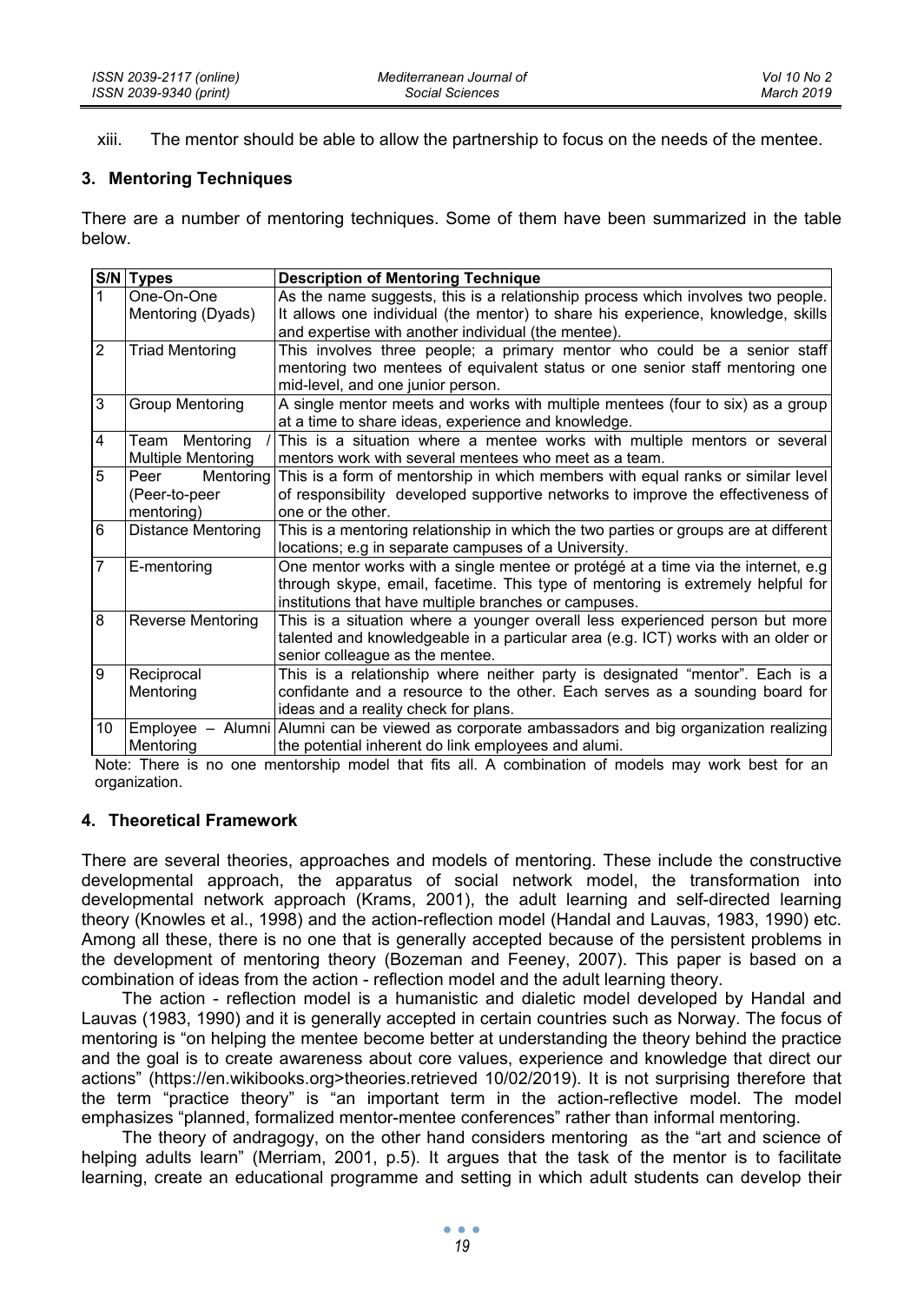xiii. The mentor should be able to allow the partnership to focus on the needs of the mentee.

## **3. Mentoring Techniques**

There are a number of mentoring techniques. Some of them have been summarized in the table below.

|                | S/N Types                 | <b>Description of Mentoring Technique</b>                                            |  |
|----------------|---------------------------|--------------------------------------------------------------------------------------|--|
| $\mathbf{1}$   | One-On-One                | As the name suggests, this is a relationship process which involves two people.      |  |
|                | Mentoring (Dyads)         | It allows one individual (the mentor) to share his experience, knowledge, skills     |  |
|                |                           | and expertise with another individual (the mentee).                                  |  |
| 2              | <b>Triad Mentoring</b>    | This involves three people; a primary mentor who could be a senior staff             |  |
|                |                           | mentoring two mentees of equivalent status or one senior staff mentoring one         |  |
|                |                           | mid-level, and one junior person.                                                    |  |
| 3              | <b>Group Mentoring</b>    | A single mentor meets and works with multiple mentees (four to six) as a group       |  |
|                |                           | at a time to share ideas, experience and knowledge.                                  |  |
| 4              | Team Mentoring            | This is a situation where a mentee works with multiple mentors or several            |  |
|                | <b>Multiple Mentoring</b> | mentors work with several mentees who meet as a team.                                |  |
| 5              | Mentoring<br>Peer         | This is a form of mentorship in which members with equal ranks or similar level      |  |
|                | (Peer-to-peer             | of responsibility developed supportive networks to improve the effectiveness of      |  |
|                | mentoring)                | one or the other.                                                                    |  |
| 6              | <b>Distance Mentoring</b> | This is a mentoring relationship in which the two parties or groups are at different |  |
|                |                           | locations; e.g in separate campuses of a University.                                 |  |
| $\overline{7}$ | E-mentoring               | One mentor works with a single mentee or protégé at a time via the internet, e.g.    |  |
|                |                           | through skype, email, facetime. This type of mentoring is extremely helpful for      |  |
|                |                           | institutions that have multiple branches or campuses.                                |  |
| 8              | <b>Reverse Mentoring</b>  | This is a situation where a younger overall less experienced person but more         |  |
|                |                           | talented and knowledgeable in a particular area (e.g. ICT) works with an older or    |  |
|                |                           | senior colleague as the mentee.                                                      |  |
| 9              | Reciprocal                | This is a relationship where neither party is designated "mentor". Each is a         |  |
|                | Mentoring                 | confidante and a resource to the other. Each serves as a sounding board for          |  |
|                |                           | ideas and a reality check for plans.                                                 |  |
| 10             | Employee<br>Alumni        | Alumni can be viewed as corporate ambassadors and big organization realizing         |  |
|                | Mentoring                 | the potential inherent do link employees and alumi.                                  |  |

Note: There is no one mentorship model that fits all. A combination of models may work best for an organization.

## **4. Theoretical Framework**

There are several theories, approaches and models of mentoring. These include the constructive developmental approach, the apparatus of social network model, the transformation into developmental network approach (Krams, 2001), the adult learning and self-directed learning theory (Knowles et al., 1998) and the action-reflection model (Handal and Lauvas, 1983, 1990) etc. Among all these, there is no one that is generally accepted because of the persistent problems in the development of mentoring theory (Bozeman and Feeney, 2007). This paper is based on a combination of ideas from the action - reflection model and the adult learning theory.

The action - reflection model is a humanistic and dialetic model developed by Handal and Lauvas (1983, 1990) and it is generally accepted in certain countries such as Norway. The focus of mentoring is "on helping the mentee become better at understanding the theory behind the practice and the goal is to create awareness about core values, experience and knowledge that direct our actions" (https://en.wikibooks.org>theories.retrieved 10/02/2019). It is not surprising therefore that the term "practice theory" is "an important term in the action-reflective model. The model emphasizes "planned, formalized mentor-mentee conferences" rather than informal mentoring.

The theory of andragogy, on the other hand considers mentoring as the "art and science of helping adults learn" (Merriam, 2001, p.5). It argues that the task of the mentor is to facilitate learning, create an educational programme and setting in which adult students can develop their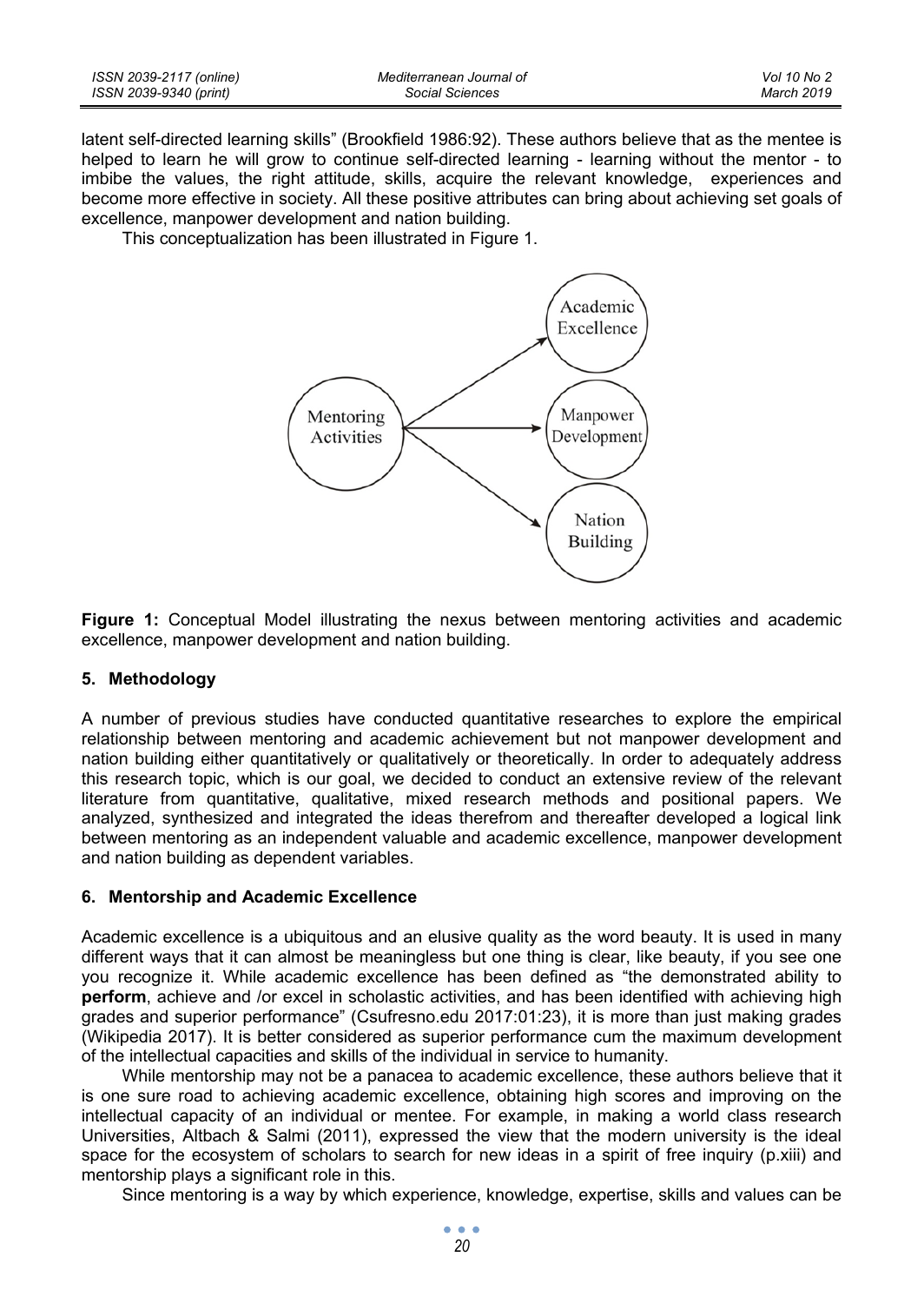| ISSN 2039-2117 (online) | Mediterranean Journal of | Vol 10 No 2 |
|-------------------------|--------------------------|-------------|
| ISSN 2039-9340 (print)  | Social Sciences          | March 2019  |

latent self-directed learning skills" (Brookfield 1986:92). These authors believe that as the mentee is helped to learn he will grow to continue self-directed learning - learning without the mentor - to imbibe the values, the right attitude, skills, acquire the relevant knowledge, experiences and become more effective in society. All these positive attributes can bring about achieving set goals of excellence, manpower development and nation building.

This conceptualization has been illustrated in Figure 1.



**Figure 1:** Conceptual Model illustrating the nexus between mentoring activities and academic excellence, manpower development and nation building.

## **5. Methodology**

A number of previous studies have conducted quantitative researches to explore the empirical relationship between mentoring and academic achievement but not manpower development and nation building either quantitatively or qualitatively or theoretically. In order to adequately address this research topic, which is our goal, we decided to conduct an extensive review of the relevant literature from quantitative, qualitative, mixed research methods and positional papers. We analyzed, synthesized and integrated the ideas therefrom and thereafter developed a logical link between mentoring as an independent valuable and academic excellence, manpower development and nation building as dependent variables.

## **6. Mentorship and Academic Excellence**

Academic excellence is a ubiquitous and an elusive quality as the word beauty. It is used in many different ways that it can almost be meaningless but one thing is clear, like beauty, if you see one you recognize it. While academic excellence has been defined as "the demonstrated ability to **perform**, achieve and /or excel in scholastic activities, and has been identified with achieving high grades and superior performance" (Csufresno.edu 2017:01:23), it is more than just making grades (Wikipedia 2017). It is better considered as superior performance cum the maximum development of the intellectual capacities and skills of the individual in service to humanity.

While mentorship may not be a panacea to academic excellence, these authors believe that it is one sure road to achieving academic excellence, obtaining high scores and improving on the intellectual capacity of an individual or mentee. For example, in making a world class research Universities, Altbach & Salmi (2011), expressed the view that the modern university is the ideal space for the ecosystem of scholars to search for new ideas in a spirit of free inquiry (p.xiii) and mentorship plays a significant role in this.

Since mentoring is a way by which experience, knowledge, expertise, skills and values can be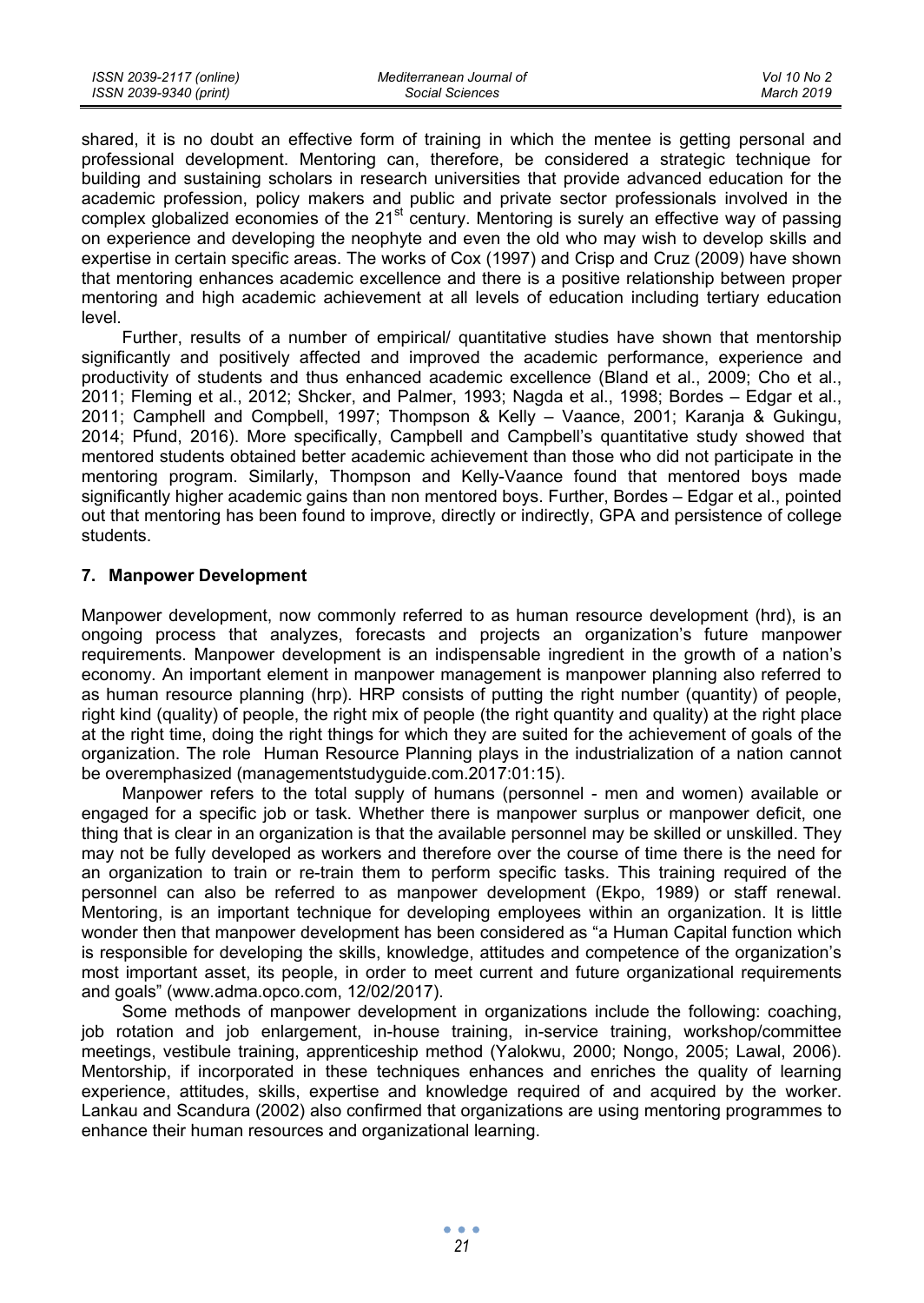| ISSN 2039-2117 (online) | Mediterranean Journal of | Vol 10 No 2 |
|-------------------------|--------------------------|-------------|
| ISSN 2039-9340 (print)  | Social Sciences          | March 2019  |

shared, it is no doubt an effective form of training in which the mentee is getting personal and professional development. Mentoring can, therefore, be considered a strategic technique for building and sustaining scholars in research universities that provide advanced education for the academic profession, policy makers and public and private sector professionals involved in the complex globalized economies of the 21<sup>st</sup> century. Mentoring is surely an effective way of passing on experience and developing the neophyte and even the old who may wish to develop skills and expertise in certain specific areas. The works of Cox (1997) and Crisp and Cruz (2009) have shown that mentoring enhances academic excellence and there is a positive relationship between proper mentoring and high academic achievement at all levels of education including tertiary education level.

Further, results of a number of empirical/ quantitative studies have shown that mentorship significantly and positively affected and improved the academic performance, experience and productivity of students and thus enhanced academic excellence (Bland et al., 2009; Cho et al., 2011; Fleming et al., 2012; Shcker, and Palmer, 1993; Nagda et al., 1998; Bordes – Edgar et al., 2011; Camphell and Compbell, 1997; Thompson & Kelly – Vaance, 2001; Karanja & Gukingu, 2014; Pfund, 2016). More specifically, Campbell and Campbell's quantitative study showed that mentored students obtained better academic achievement than those who did not participate in the mentoring program. Similarly, Thompson and Kelly-Vaance found that mentored boys made significantly higher academic gains than non mentored boys. Further, Bordes – Edgar et al., pointed out that mentoring has been found to improve, directly or indirectly, GPA and persistence of college students.

## **7. Manpower Development**

Manpower development, now commonly referred to as human resource development (hrd), is an ongoing process that analyzes, forecasts and projects an organization's future manpower requirements. Manpower development is an indispensable ingredient in the growth of a nation's economy. An important element in manpower management is manpower planning also referred to as human resource planning (hrp). HRP consists of putting the right number (quantity) of people, right kind (quality) of people, the right mix of people (the right quantity and quality) at the right place at the right time, doing the right things for which they are suited for the achievement of goals of the organization. The role Human Resource Planning plays in the industrialization of a nation cannot be overemphasized (managementstudyguide.com.2017:01:15).

Manpower refers to the total supply of humans (personnel - men and women) available or engaged for a specific job or task. Whether there is manpower surplus or manpower deficit, one thing that is clear in an organization is that the available personnel may be skilled or unskilled. They may not be fully developed as workers and therefore over the course of time there is the need for an organization to train or re-train them to perform specific tasks. This training required of the personnel can also be referred to as manpower development (Ekpo, 1989) or staff renewal. Mentoring, is an important technique for developing employees within an organization. It is little wonder then that manpower development has been considered as "a Human Capital function which is responsible for developing the skills, knowledge, attitudes and competence of the organization's most important asset, its people, in order to meet current and future organizational requirements and goals" (www.adma.opco.com, 12/02/2017).

Some methods of manpower development in organizations include the following: coaching, job rotation and job enlargement, in-house training, in-service training, workshop/committee meetings, vestibule training, apprenticeship method (Yalokwu, 2000; Nongo, 2005; Lawal, 2006). Mentorship, if incorporated in these techniques enhances and enriches the quality of learning experience, attitudes, skills, expertise and knowledge required of and acquired by the worker. Lankau and Scandura (2002) also confirmed that organizations are using mentoring programmes to enhance their human resources and organizational learning.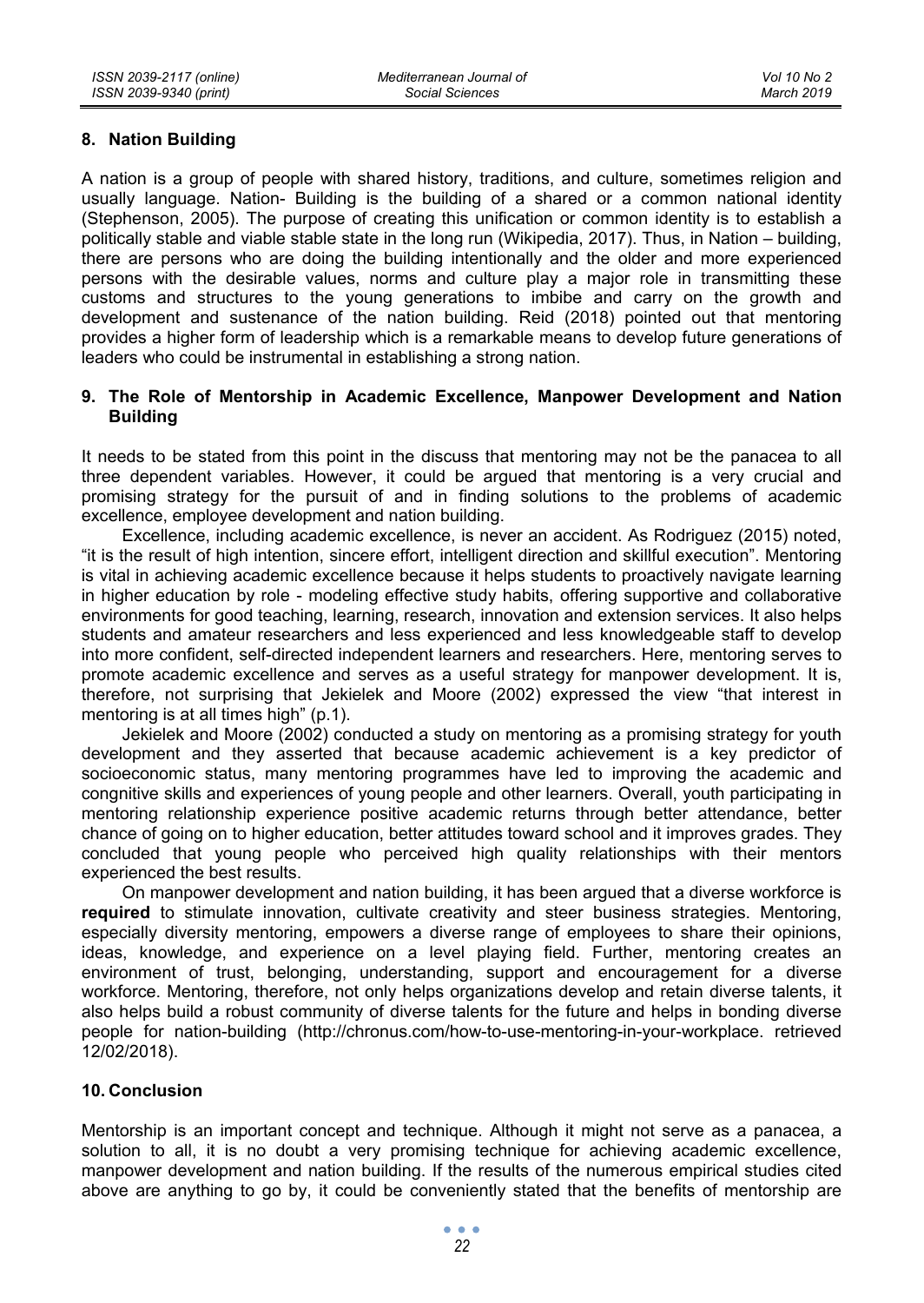# **8. Nation Building**

A nation is a group of people with shared history, traditions, and culture, sometimes religion and usually language. Nation- Building is the building of a shared or a common national identity (Stephenson, 2005). The purpose of creating this unification or common identity is to establish a politically stable and viable stable state in the long run (Wikipedia, 2017). Thus, in Nation – building, there are persons who are doing the building intentionally and the older and more experienced persons with the desirable values, norms and culture play a major role in transmitting these customs and structures to the young generations to imbibe and carry on the growth and development and sustenance of the nation building. Reid (2018) pointed out that mentoring provides a higher form of leadership which is a remarkable means to develop future generations of leaders who could be instrumental in establishing a strong nation.

## **9. The Role of Mentorship in Academic Excellence, Manpower Development and Nation Building**

It needs to be stated from this point in the discuss that mentoring may not be the panacea to all three dependent variables. However, it could be argued that mentoring is a very crucial and promising strategy for the pursuit of and in finding solutions to the problems of academic excellence, employee development and nation building.

Excellence, including academic excellence, is never an accident. As Rodriguez (2015) noted, "it is the result of high intention, sincere effort, intelligent direction and skillful execution". Mentoring is vital in achieving academic excellence because it helps students to proactively navigate learning in higher education by role - modeling effective study habits, offering supportive and collaborative environments for good teaching, learning, research, innovation and extension services. It also helps students and amateur researchers and less experienced and less knowledgeable staff to develop into more confident, self-directed independent learners and researchers. Here, mentoring serves to promote academic excellence and serves as a useful strategy for manpower development. It is, therefore, not surprising that Jekielek and Moore (2002) expressed the view "that interest in mentoring is at all times high" (p.1).

Jekielek and Moore (2002) conducted a study on mentoring as a promising strategy for youth development and they asserted that because academic achievement is a key predictor of socioeconomic status, many mentoring programmes have led to improving the academic and congnitive skills and experiences of young people and other learners. Overall, youth participating in mentoring relationship experience positive academic returns through better attendance, better chance of going on to higher education, better attitudes toward school and it improves grades. They concluded that young people who perceived high quality relationships with their mentors experienced the best results.

On manpower development and nation building, it has been argued that a diverse workforce is **required** to stimulate innovation, cultivate creativity and steer business strategies. Mentoring, especially diversity mentoring, empowers a diverse range of employees to share their opinions, ideas, knowledge, and experience on a level playing field. Further, mentoring creates an environment of trust, belonging, understanding, support and encouragement for a diverse workforce. Mentoring, therefore, not only helps organizations develop and retain diverse talents, it also helps build a robust community of diverse talents for the future and helps in bonding diverse people for nation-building (http://chronus.com/how-to-use-mentoring-in-your-workplace. retrieved 12/02/2018).

## **10. Conclusion**

Mentorship is an important concept and technique. Although it might not serve as a panacea, a solution to all, it is no doubt a very promising technique for achieving academic excellence, manpower development and nation building. If the results of the numerous empirical studies cited above are anything to go by, it could be conveniently stated that the benefits of mentorship are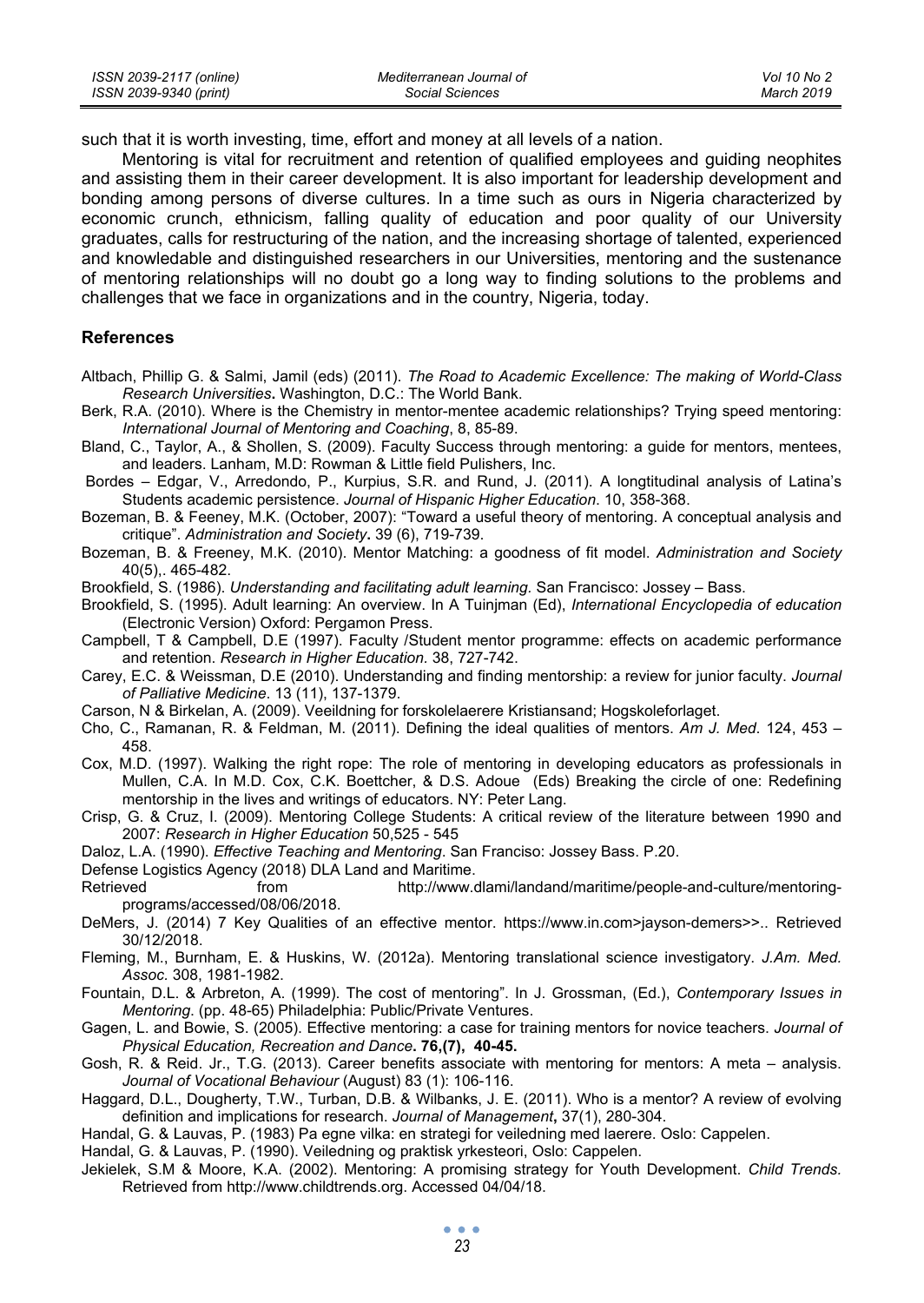such that it is worth investing, time, effort and money at all levels of a nation.

Mentoring is vital for recruitment and retention of qualified employees and guiding neophites and assisting them in their career development. It is also important for leadership development and bonding among persons of diverse cultures. In a time such as ours in Nigeria characterized by economic crunch, ethnicism, falling quality of education and poor quality of our University graduates, calls for restructuring of the nation, and the increasing shortage of talented, experienced and knowledable and distinguished researchers in our Universities, mentoring and the sustenance of mentoring relationships will no doubt go a long way to finding solutions to the problems and challenges that we face in organizations and in the country, Nigeria, today.

#### **References**

- Altbach, Phillip G. & Salmi, Jamil (eds) (2011). *The Road to Academic Excellence: The making of World-Class Research Universities***.** Washington, D.C.: The World Bank.
- Berk, R.A. (2010). Where is the Chemistry in mentor-mentee academic relationships? Trying speed mentoring: *International Journal of Mentoring and Coaching*, 8, 85-89.
- Bland, C., Taylor, A., & Shollen, S. (2009). Faculty Success through mentoring: a guide for mentors, mentees, and leaders. Lanham, M.D: Rowman & Little field Pulishers, Inc.
- Bordes Edgar, V., Arredondo, P., Kurpius, S.R. and Rund, J. (2011). A longtitudinal analysis of Latina's Students academic persistence. *Journal of Hispanic Higher Education*. 10, 358-368.
- Bozeman, B. & Feeney, M.K. (October, 2007): "Toward a useful theory of mentoring. A conceptual analysis and critique". *Administration and Society***.** 39 (6), 719-739.
- Bozeman, B. & Freeney, M.K. (2010). Mentor Matching: a goodness of fit model. *Administration and Society* 40(5),. 465-482.
- Brookfield, S. (1986). *Understanding and facilitating adult learning.* San Francisco: Jossey Bass.
- Brookfield, S. (1995). Adult learning: An overview. In A Tuinjman (Ed), *International Encyclopedia of education* (Electronic Version) Oxford: Pergamon Press.
- Campbell, T & Campbell, D.E (1997). Faculty /Student mentor programme: effects on academic performance and retention. *Research in Higher Education.* 38, 727-742.
- Carey, E.C. & Weissman, D.E (2010). Understanding and finding mentorship: a review for junior faculty. *Journal of Palliative Medicine*. 13 (11), 137-1379.
- Carson, N & Birkelan, A. (2009). Veeildning for forskolelaerere Kristiansand; Hogskoleforlaget.
- Cho, C., Ramanan, R. & Feldman, M. (2011). Defining the ideal qualities of mentors. *Am J. Med*. 124, 453 458.
- Cox, M.D. (1997). Walking the right rope: The role of mentoring in developing educators as professionals in Mullen, C.A. In M.D. Cox, C.K. Boettcher, & D.S. Adoue (Eds) Breaking the circle of one: Redefining mentorship in the lives and writings of educators. NY: Peter Lang.
- Crisp, G. & Cruz, I. (2009). Mentoring College Students: A critical review of the literature between 1990 and 2007: *Research in Higher Education* 50,525 - 545
- Daloz, L.A. (1990). *Effective Teaching and Mentoring*. San Franciso: Jossey Bass. P.20.
- Defense Logistics Agency (2018) DLA Land and Maritime.
- http://www.dlami/landand/maritime/people-and-culture/mentoringprograms/accessed/08/06/2018.
- DeMers, J. (2014) 7 Key Qualities of an effective mentor. https://www.in.com>jayson-demers>>.. Retrieved 30/12/2018.
- Fleming, M., Burnham, E. & Huskins, W. (2012a). Mentoring translational science investigatory. *J.Am. Med. Assoc.* 308, 1981-1982.
- Fountain, D.L. & Arbreton, A. (1999). The cost of mentoring". In J. Grossman, (Ed.), *Contemporary Issues in Mentoring*. (pp. 48-65) Philadelphia: Public/Private Ventures.
- Gagen, L. and Bowie, S. (2005). Effective mentoring: a case for training mentors for novice teachers. *Journal of Physical Education, Recreation and Dance***. 76,(7), 40-45.**
- Gosh, R. & Reid. Jr., T.G. (2013). Career benefits associate with mentoring for mentors: A meta analysis. *Journal of Vocational Behaviour* (August) 83 (1): 106-116.
- Haggard, D.L., Dougherty, T.W., Turban, D.B. & Wilbanks, J. E. (2011). Who is a mentor? A review of evolving definition and implications for research. *Journal of Management***,** 37(1), 280-304.
- Handal, G. & Lauvas, P. (1983) Pa egne vilka: en strategi for veiledning med laerere. Oslo: Cappelen.
- Handal, G. & Lauvas, P. (1990). Veiledning og praktisk yrkesteori, Oslo: Cappelen.
- Jekielek, S.M & Moore, K.A. (2002). Mentoring: A promising strategy for Youth Development. *Child Trends.* Retrieved from http://www.childtrends.org. Accessed 04/04/18.